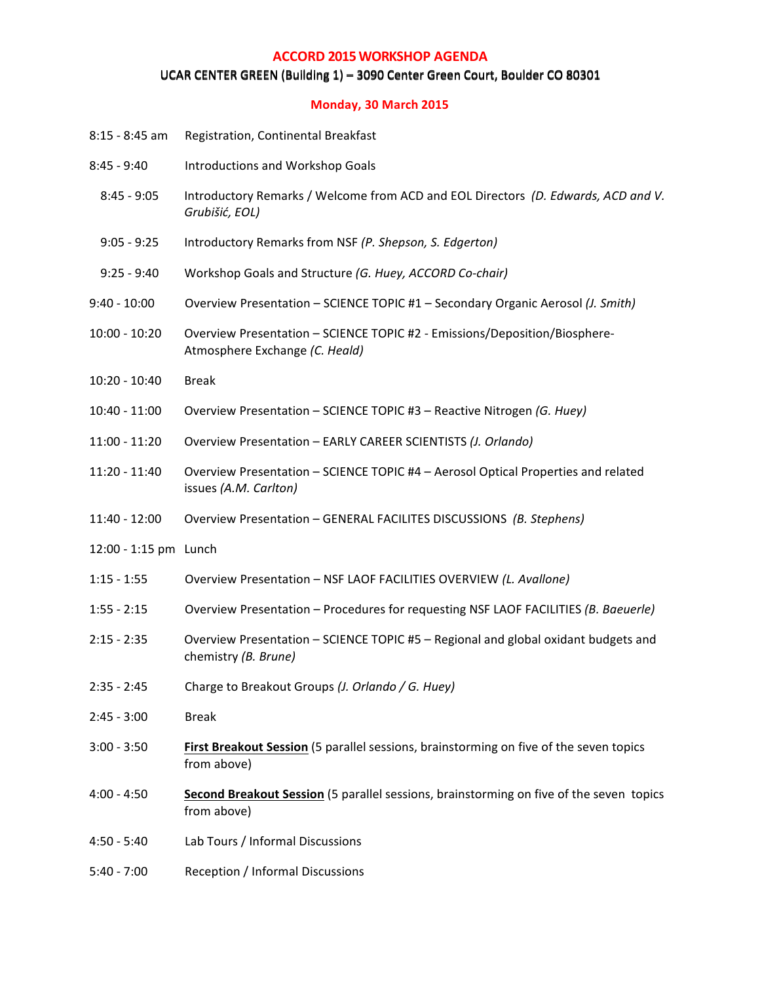## **ACCORD 2015 WORKSHOP AGENDA**

## UCAR CENTER GREEN (Building 1) = 3090 Center Green Court, Boulder CO 80301

## **Monday, 30 March 2015**

| $8:15 - 8:45$ am      | Registration, Continental Breakfast                                                                          |  |  |
|-----------------------|--------------------------------------------------------------------------------------------------------------|--|--|
| $8:45 - 9:40$         | Introductions and Workshop Goals                                                                             |  |  |
| $8:45 - 9:05$         | Introductory Remarks / Welcome from ACD and EOL Directors (D. Edwards, ACD and V.<br>Grubišić, EOL)          |  |  |
| $9:05 - 9:25$         | Introductory Remarks from NSF (P. Shepson, S. Edgerton)                                                      |  |  |
| $9:25 - 9:40$         | Workshop Goals and Structure (G. Huey, ACCORD Co-chair)                                                      |  |  |
| $9:40 - 10:00$        | Overview Presentation - SCIENCE TOPIC #1 - Secondary Organic Aerosol (J. Smith)                              |  |  |
| $10:00 - 10:20$       | Overview Presentation - SCIENCE TOPIC #2 - Emissions/Deposition/Biosphere-<br>Atmosphere Exchange (C. Heald) |  |  |
| $10:20 - 10:40$       | <b>Break</b>                                                                                                 |  |  |
| $10:40 - 11:00$       | Overview Presentation - SCIENCE TOPIC #3 - Reactive Nitrogen (G. Huey)                                       |  |  |
| $11:00 - 11:20$       | Overview Presentation - EARLY CAREER SCIENTISTS (J. Orlando)                                                 |  |  |
| $11:20 - 11:40$       | Overview Presentation - SCIENCE TOPIC #4 - Aerosol Optical Properties and related<br>issues (A.M. Carlton)   |  |  |
| $11:40 - 12:00$       | Overview Presentation - GENERAL FACILITES DISCUSSIONS (B. Stephens)                                          |  |  |
| 12:00 - 1:15 pm Lunch |                                                                                                              |  |  |
| $1:15 - 1:55$         | Overview Presentation - NSF LAOF FACILITIES OVERVIEW (L. Avallone)                                           |  |  |
| $1:55 - 2:15$         | Overview Presentation - Procedures for requesting NSF LAOF FACILITIES (B. Baeuerle)                          |  |  |
| $2:15 - 2:35$         | Overview Presentation - SCIENCE TOPIC #5 - Regional and global oxidant budgets and<br>chemistry (B. Brune)   |  |  |
| $2:35 - 2:45$         | Charge to Breakout Groups (J. Orlando / G. Huey)                                                             |  |  |
| $2:45 - 3:00$         | <b>Break</b>                                                                                                 |  |  |
| $3:00 - 3:50$         | First Breakout Session (5 parallel sessions, brainstorming on five of the seven topics<br>from above)        |  |  |
| $4:00 - 4:50$         | Second Breakout Session (5 parallel sessions, brainstorming on five of the seven topics<br>from above)       |  |  |
| $4:50 - 5:40$         | Lab Tours / Informal Discussions                                                                             |  |  |
| $5:40 - 7:00$         | Reception / Informal Discussions                                                                             |  |  |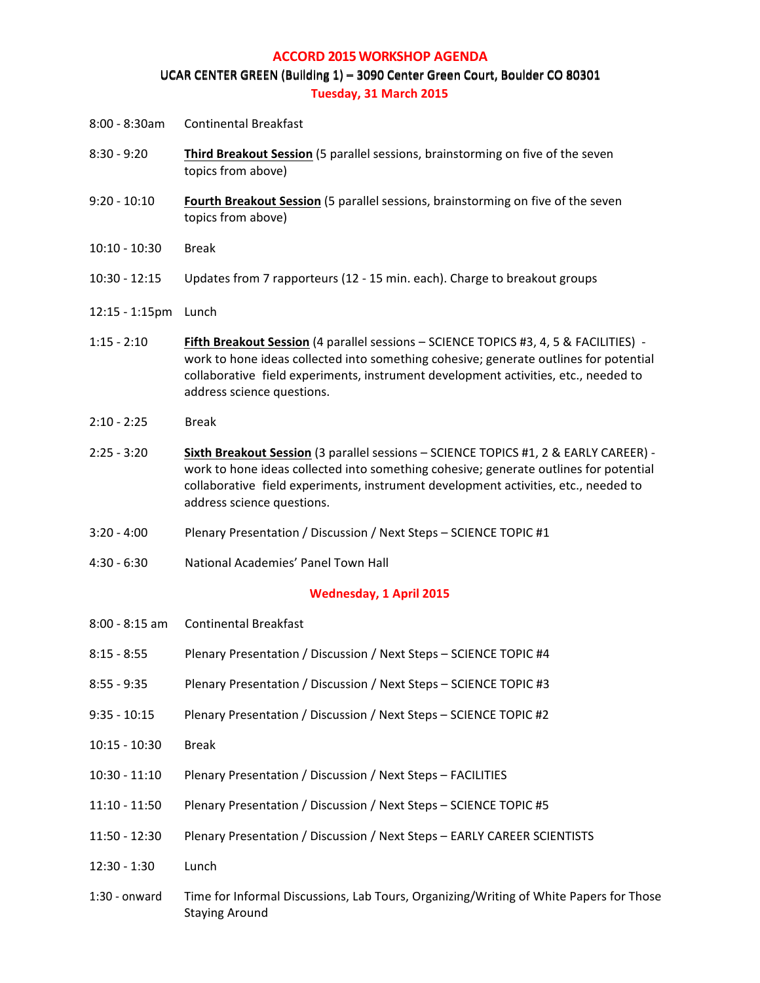#### **ACCORD 2015 WORKSHOP AGENDA**

#### UCAR CENTER GREEN (Building 1) – 3090 Center Green Court, Boulder CO 80301 **Tuesday, 31 March 2015**

- 8:00 8:30am Continental Breakfast
- 8:30 9:20 **Third Breakout Session** (5 parallel sessions, brainstorming on five of the seven topics from above)
- 9:20 10:10 **Fourth Breakout Session** (5 parallel sessions, brainstorming on five of the seven topics from above)
- 10:10 10:30 Break
- 10:30 12:15 Updates from 7 rapporteurs (12 15 min. each). Charge to breakout groups
- 12:15 1:15pm Lunch
- 1:15 2:10 **Fifth Breakout Session** (4 parallel sessions SCIENCE TOPICS #3, 4, 5 & FACILITIES) work to hone ideas collected into something cohesive; generate outlines for potential collaborative field experiments, instrument development activities, etc., needed to address science questions.
- 2:10 2:25 Break
- 2:25 3:20 **Sixth Breakout Session** (3 parallel sessions SCIENCE TOPICS #1, 2 & EARLY CAREER) work to hone ideas collected into something cohesive; generate outlines for potential collaborative field experiments, instrument development activities, etc., needed to address science questions.
- 3:20 4:00 Plenary Presentation / Discussion / Next Steps SCIENCE TOPIC #1
- 4:30 6:30 National Academies' Panel Town Hall

#### **Wednesday, 1 April 2015**

| 8:00 - 8:15 am  | <b>Continental Breakfast</b>                                                                                    |  |  |
|-----------------|-----------------------------------------------------------------------------------------------------------------|--|--|
| $8:15 - 8:55$   | Plenary Presentation / Discussion / Next Steps - SCIENCE TOPIC #4                                               |  |  |
| $8:55 - 9:35$   | Plenary Presentation / Discussion / Next Steps - SCIENCE TOPIC #3                                               |  |  |
| $9:35 - 10:15$  | Plenary Presentation / Discussion / Next Steps - SCIENCE TOPIC #2                                               |  |  |
| $10:15 - 10:30$ | <b>Break</b>                                                                                                    |  |  |
| $10:30 - 11:10$ | Plenary Presentation / Discussion / Next Steps - FACILITIES                                                     |  |  |
| $11:10 - 11:50$ | Plenary Presentation / Discussion / Next Steps - SCIENCE TOPIC #5                                               |  |  |
| $11:50 - 12:30$ | Plenary Presentation / Discussion / Next Steps - EARLY CAREER SCIENTISTS                                        |  |  |
| $12:30 - 1:30$  | Lunch                                                                                                           |  |  |
| $1:30$ - onward | Time for Informal Discussions, Lab Tours, Organizing/Writing of White Papers for Those<br><b>Staying Around</b> |  |  |